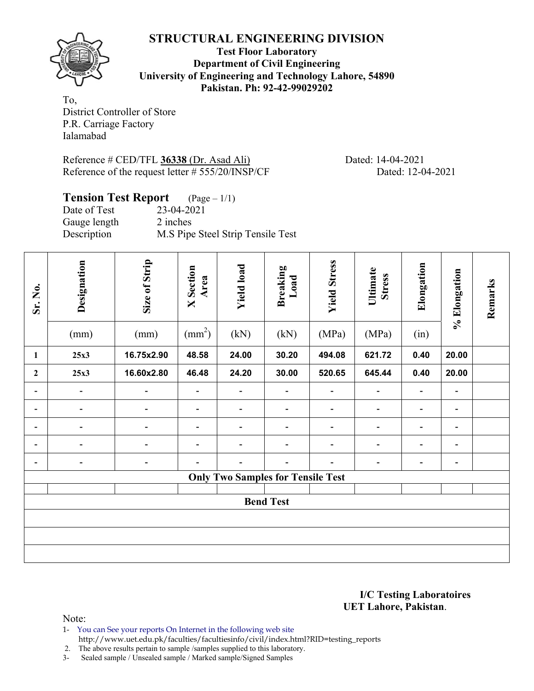# **STRUCTURAL ENGINEERING DIVISION**

**Test Floor Laboratory Department of Civil Engineering University of Engineering and Technology Lahore, 54890 Pakistan. Ph: 92-42-99029202** 

To, District Controller of Store P.R. Carriage Factory Ialamabad

Reference # CED/TFL **36338** (Dr. Asad Ali) Dated: 14-04-2021 Reference of the request letter # 555/20/INSP/CF Dated: 12-04-2021

## **Tension Test Report** (Page – 1/1)

Date of Test 23-04-2021 Gauge length 2 inches Description M.S Pipe Steel Strip Tensile Test

| Sr. No.                  | Designation<br>(mm)                      | Size of Strip<br>(mm)        | <b>X</b> Section<br>Area<br>$\text{(mm}^2)$ | <b>Yield load</b><br>(kN)    | <b>Breaking</b><br>Load<br>(kN) | <b>Yield Stress</b><br>(MPa) | Ultimate<br><b>Stress</b><br>(MPa) | Elongation<br>(in)       | % Elongation                 | Remarks |
|--------------------------|------------------------------------------|------------------------------|---------------------------------------------|------------------------------|---------------------------------|------------------------------|------------------------------------|--------------------------|------------------------------|---------|
| 1                        | 25x3                                     | 16.75x2.90                   | 48.58                                       | 24.00                        | 30.20                           | 494.08                       | 621.72                             | 0.40                     | 20.00                        |         |
| $\mathbf{2}$             | 25x3                                     | 16.60x2.80                   | 46.48                                       | 24.20                        | 30.00                           | 520.65                       | 645.44                             | 0.40                     | 20.00                        |         |
| $\overline{\phantom{a}}$ | $\overline{\phantom{0}}$                 | $\qquad \qquad \blacksquare$ | -                                           | $\qquad \qquad \blacksquare$ | $\overline{\phantom{a}}$        | $\overline{\phantom{a}}$     | $\blacksquare$                     | $\overline{\phantom{a}}$ | $\qquad \qquad \blacksquare$ |         |
| $\overline{\phantom{a}}$ |                                          |                              |                                             |                              |                                 |                              |                                    | $\blacksquare$           | $\blacksquare$               |         |
| $\overline{\phantom{a}}$ | -                                        | $\qquad \qquad$              | -                                           | $\overline{a}$               | $\qquad \qquad \blacksquare$    | $\qquad \qquad \blacksquare$ | $\overline{\phantom{a}}$           | $\overline{\phantom{a}}$ | $\blacksquare$               |         |
| $\overline{\phantom{a}}$ | $\overline{\phantom{0}}$                 | $\overline{\phantom{0}}$     | -                                           | $\qquad \qquad \blacksquare$ | $\blacksquare$                  | $\overline{a}$               | $\overline{\phantom{0}}$           | $\overline{a}$           | $\qquad \qquad \blacksquare$ |         |
| $\overline{\phantom{a}}$ | $\overline{\phantom{a}}$                 | $\overline{\phantom{a}}$     |                                             | $\overline{\phantom{a}}$     | $\blacksquare$                  | $\blacksquare$               | $\overline{\phantom{a}}$           | $\blacksquare$           | $\blacksquare$               |         |
|                          | <b>Only Two Samples for Tensile Test</b> |                              |                                             |                              |                                 |                              |                                    |                          |                              |         |
| <b>Bend Test</b>         |                                          |                              |                                             |                              |                                 |                              |                                    |                          |                              |         |
|                          |                                          |                              |                                             |                              |                                 |                              |                                    |                          |                              |         |
|                          |                                          |                              |                                             |                              |                                 |                              |                                    |                          |                              |         |

#### **I/C Testing Laboratoires UET Lahore, Pakistan**.

Note:

1- You can See your reports On Internet in the following web site http://www.uet.edu.pk/faculties/facultiesinfo/civil/index.html?RID=testing\_reports

2. The above results pertain to sample /samples supplied to this laboratory.

3- Sealed sample / Unsealed sample / Marked sample/Signed Samples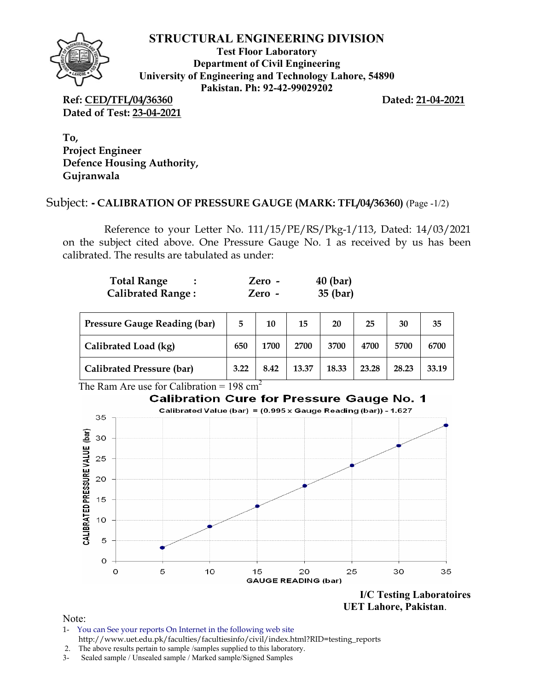

### **STRUCTURAL ENGINEERING DIVISION**

**Test Floor Laboratory Department of Civil Engineering University of Engineering and Technology Lahore, 54890 Pakistan. Ph: 92-42-99029202** 

**Ref: CED/TFL/04/36360 Dated: 21-04-2021 Dated of Test: 23-04-2021**

**To, Project Engineer Defence Housing Authority, Gujranwala** 

# Subject: **- CALIBRATION OF PRESSURE GAUGE (MARK: TFL/04/36360)** (Page -1/2)

Reference to your Letter No. 111/15/PE/RS/Pkg-1/113, Dated: 14/03/2021 on the subject cited above. One Pressure Gauge No. 1 as received by us has been calibrated. The results are tabulated as under:

| <b>Total Range</b>       | Zero - | $40$ (bar) |
|--------------------------|--------|------------|
| <b>Calibrated Range:</b> | Zero - | 35 (bar)   |

| <b>Pressure Gauge Reading (bar)</b> | 5    | 10   | 15    | 20    | 25    | 30    | 35    |
|-------------------------------------|------|------|-------|-------|-------|-------|-------|
| Calibrated Load (kg)                |      | 1700 | 2700  | 3700  | 4700  | 5700  | 6700  |
| <b>Calibrated Pressure (bar)</b>    | 3.22 | 8.42 | 13.37 | 18.33 | 23.28 | 28.23 | 33.19 |

The Ram Are use for Calibration =  $198 \text{ cm}^2$ 



 **UET Lahore, Pakistan**.

Note:

1- You can See your reports On Internet in the following web site http://www.uet.edu.pk/faculties/facultiesinfo/civil/index.html?RID=testing\_reports

3- Sealed sample / Unsealed sample / Marked sample/Signed Samples

 <sup>2.</sup> The above results pertain to sample /samples supplied to this laboratory.